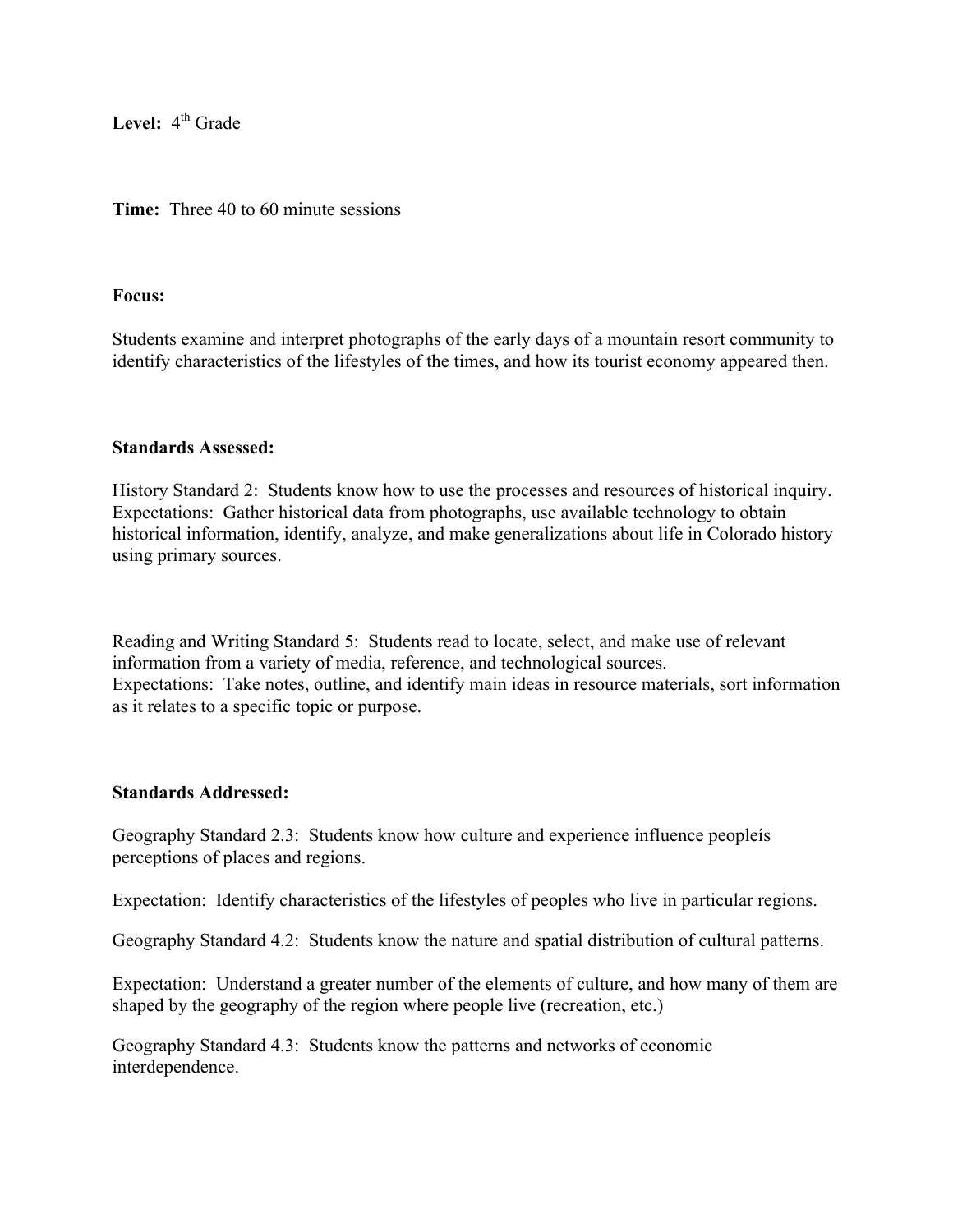Level: 4<sup>th</sup> Grade

**Time:** Three 40 to 60 minute sessions

#### **Focus:**

Students examine and interpret photographs of the early days of a mountain resort community to identify characteristics of the lifestyles of the times, and how its tourist economy appeared then.

#### **Standards Assessed:**

History Standard 2: Students know how to use the processes and resources of historical inquiry. Expectations: Gather historical data from photographs, use available technology to obtain historical information, identify, analyze, and make generalizations about life in Colorado history using primary sources.

Reading and Writing Standard 5: Students read to locate, select, and make use of relevant information from a variety of media, reference, and technological sources. Expectations: Take notes, outline, and identify main ideas in resource materials, sort information as it relates to a specific topic or purpose.

# **Standards Addressed:**

Geography Standard 2.3: Students know how culture and experience influence peopleís perceptions of places and regions.

Expectation: Identify characteristics of the lifestyles of peoples who live in particular regions.

Geography Standard 4.2: Students know the nature and spatial distribution of cultural patterns.

Expectation: Understand a greater number of the elements of culture, and how many of them are shaped by the geography of the region where people live (recreation, etc.)

Geography Standard 4.3: Students know the patterns and networks of economic interdependence.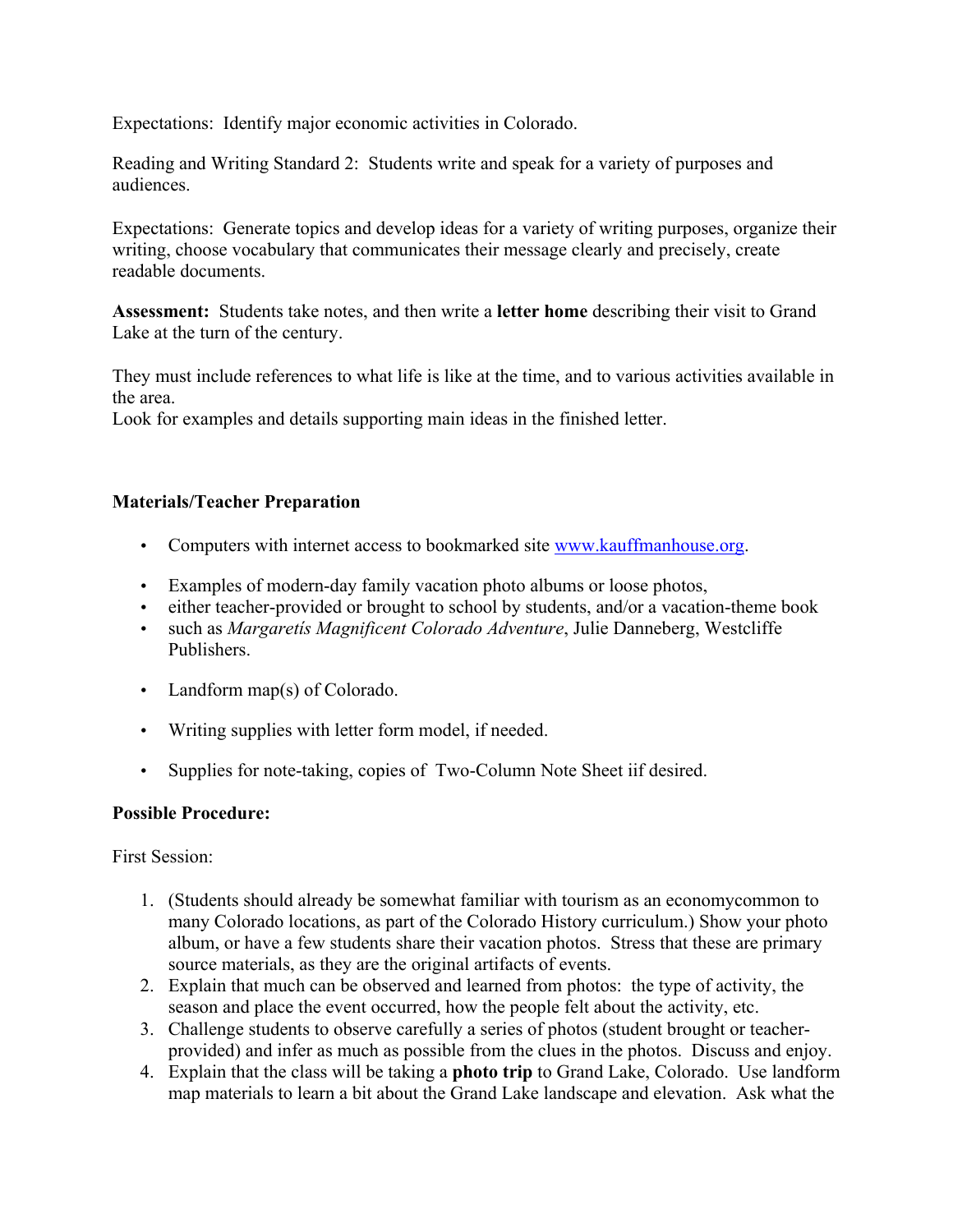Expectations: Identify major economic activities in Colorado.

Reading and Writing Standard 2: Students write and speak for a variety of purposes and audiences.

Expectations: Generate topics and develop ideas for a variety of writing purposes, organize their writing, choose vocabulary that communicates their message clearly and precisely, create readable documents.

**Assessment:** Students take notes, and then write a **letter home** describing their visit to Grand Lake at the turn of the century.

They must include references to what life is like at the time, and to various activities available in the area.

Look for examples and details supporting main ideas in the finished letter.

# **Materials/Teacher Preparation**

- Computers with internet access to bookmarked site www.kauffmanhouse.org.
- Examples of modern-day family vacation photo albums or loose photos,
- either teacher-provided or brought to school by students, and/or a vacation-theme book
- such as *Margaretís Magnificent Colorado Adventure*, Julie Danneberg, Westcliffe Publishers.
- Landform map(s) of Colorado.
- Writing supplies with letter form model, if needed.
- Supplies for note-taking, copies of Two-Column Note Sheet iif desired.

# **Possible Procedure:**

First Session:

- 1. (Students should already be somewhat familiar with tourism as an economycommon to many Colorado locations, as part of the Colorado History curriculum.) Show your photo album, or have a few students share their vacation photos. Stress that these are primary source materials, as they are the original artifacts of events.
- 2. Explain that much can be observed and learned from photos: the type of activity, the season and place the event occurred, how the people felt about the activity, etc.
- 3. Challenge students to observe carefully a series of photos (student brought or teacherprovided) and infer as much as possible from the clues in the photos. Discuss and enjoy.
- 4. Explain that the class will be taking a **photo trip** to Grand Lake, Colorado. Use landform map materials to learn a bit about the Grand Lake landscape and elevation. Ask what the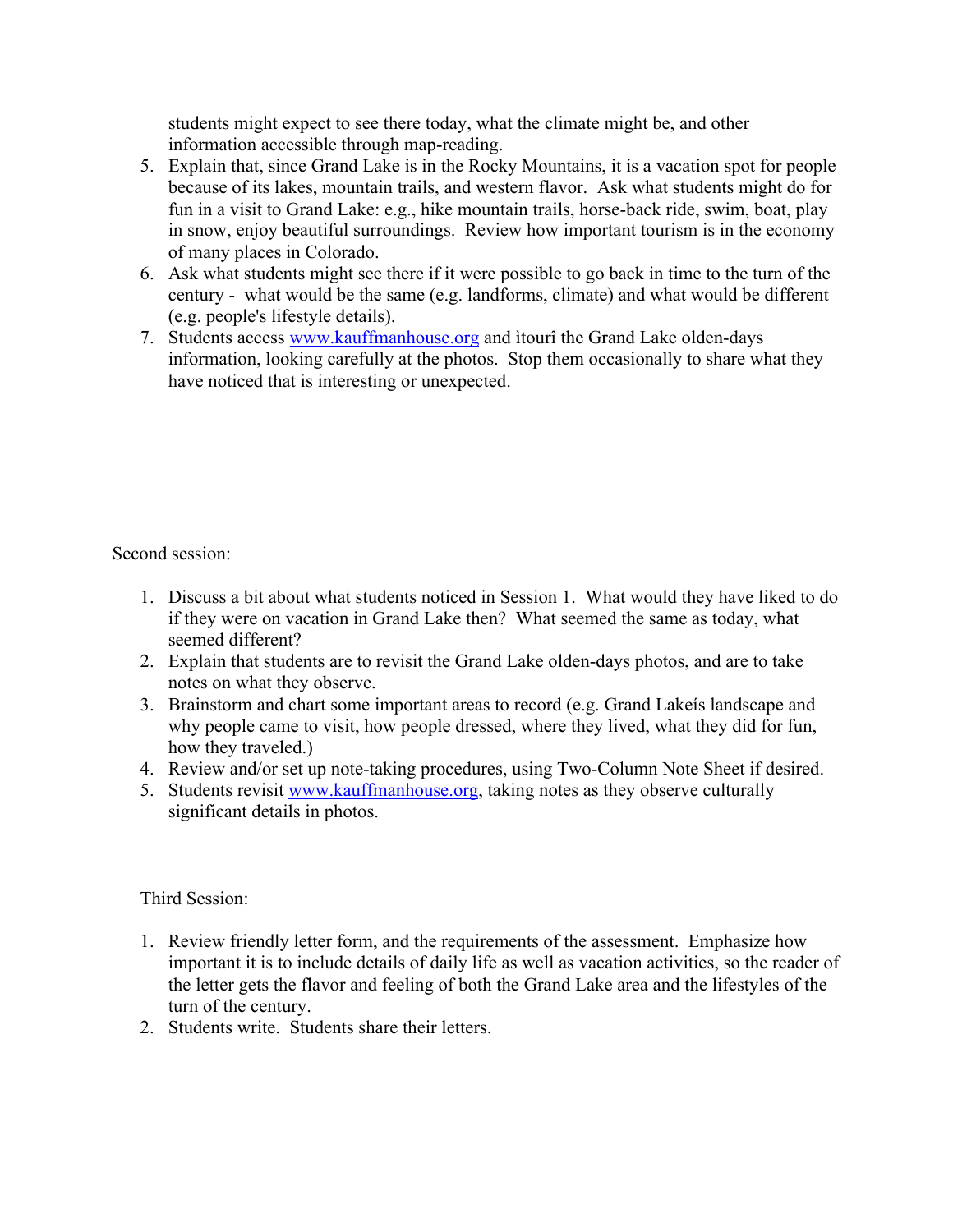students might expect to see there today, what the climate might be, and other information accessible through map-reading.

- 5. Explain that, since Grand Lake is in the Rocky Mountains, it is a vacation spot for people because of its lakes, mountain trails, and western flavor. Ask what students might do for fun in a visit to Grand Lake: e.g., hike mountain trails, horse-back ride, swim, boat, play in snow, enjoy beautiful surroundings. Review how important tourism is in the economy of many places in Colorado.
- 6. Ask what students might see there if it were possible to go back in time to the turn of the century - what would be the same (e.g. landforms, climate) and what would be different (e.g. people's lifestyle details).
- 7. Students access www.kauffmanhouse.org and itourî the Grand Lake olden-days information, looking carefully at the photos. Stop them occasionally to share what they have noticed that is interesting or unexpected.

Second session:

- 1. Discuss a bit about what students noticed in Session 1. What would they have liked to do if they were on vacation in Grand Lake then? What seemed the same as today, what seemed different?
- 2. Explain that students are to revisit the Grand Lake olden-days photos, and are to take notes on what they observe.
- 3. Brainstorm and chart some important areas to record (e.g. Grand Lakeís landscape and why people came to visit, how people dressed, where they lived, what they did for fun, how they traveled.)
- 4. Review and/or set up note-taking procedures, using Two-Column Note Sheet if desired.
- 5. Students revisit www.kauffmanhouse.org, taking notes as they observe culturally significant details in photos.

Third Session:

- 1. Review friendly letter form, and the requirements of the assessment. Emphasize how important it is to include details of daily life as well as vacation activities, so the reader of the letter gets the flavor and feeling of both the Grand Lake area and the lifestyles of the turn of the century.
- 2. Students write. Students share their letters.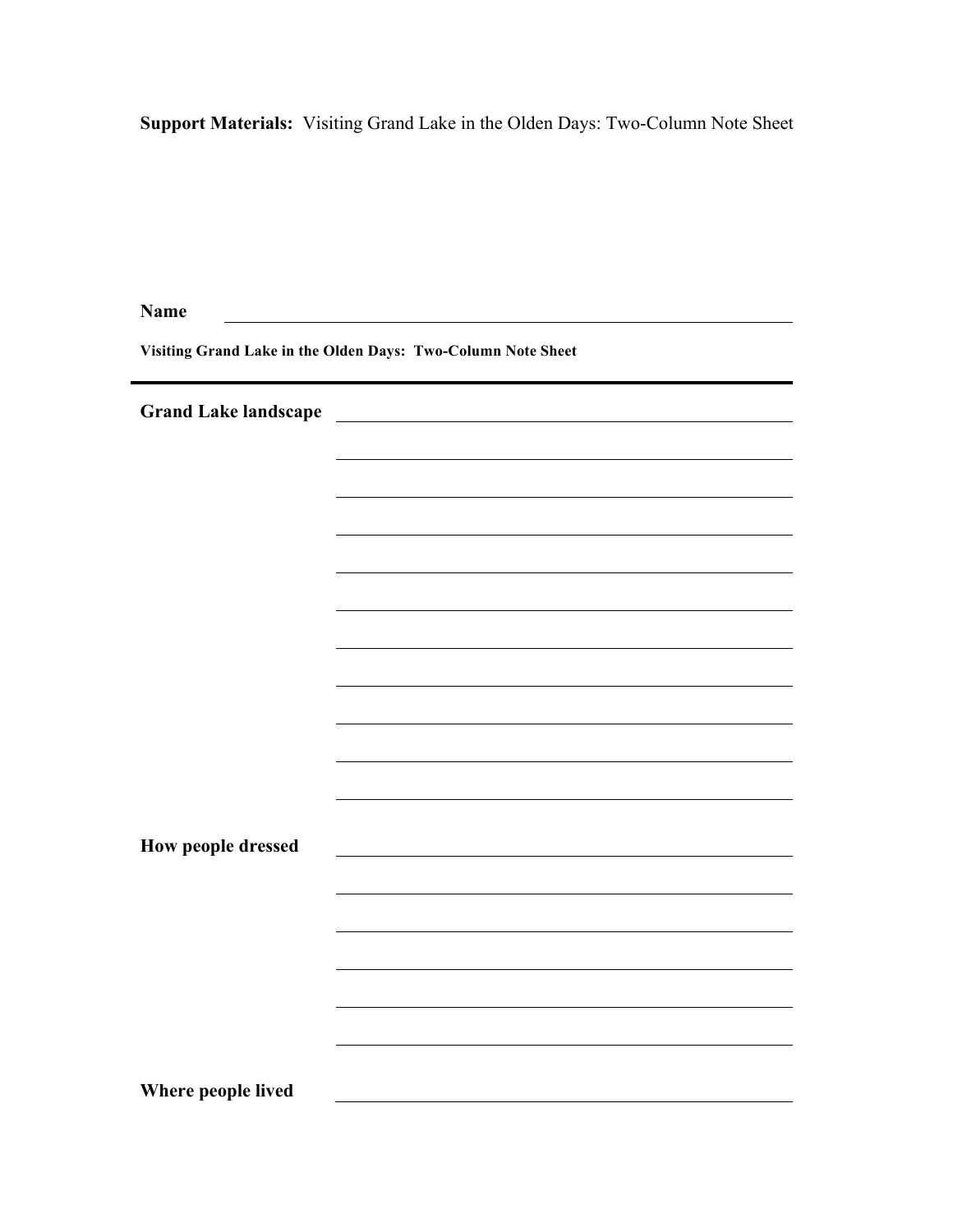**Support Materials:** Visiting Grand Lake in the Olden Days: Two-Column Note Sheet

| <b>Name</b>                                                  |  |  |
|--------------------------------------------------------------|--|--|
| Visiting Grand Lake in the Olden Days: Two-Column Note Sheet |  |  |
| <b>Grand Lake landscape</b>                                  |  |  |
|                                                              |  |  |
|                                                              |  |  |
|                                                              |  |  |
|                                                              |  |  |
|                                                              |  |  |
|                                                              |  |  |
|                                                              |  |  |
|                                                              |  |  |
|                                                              |  |  |
|                                                              |  |  |
|                                                              |  |  |
| How people dressed                                           |  |  |
|                                                              |  |  |
|                                                              |  |  |
|                                                              |  |  |
|                                                              |  |  |
|                                                              |  |  |
|                                                              |  |  |
| Where people lived                                           |  |  |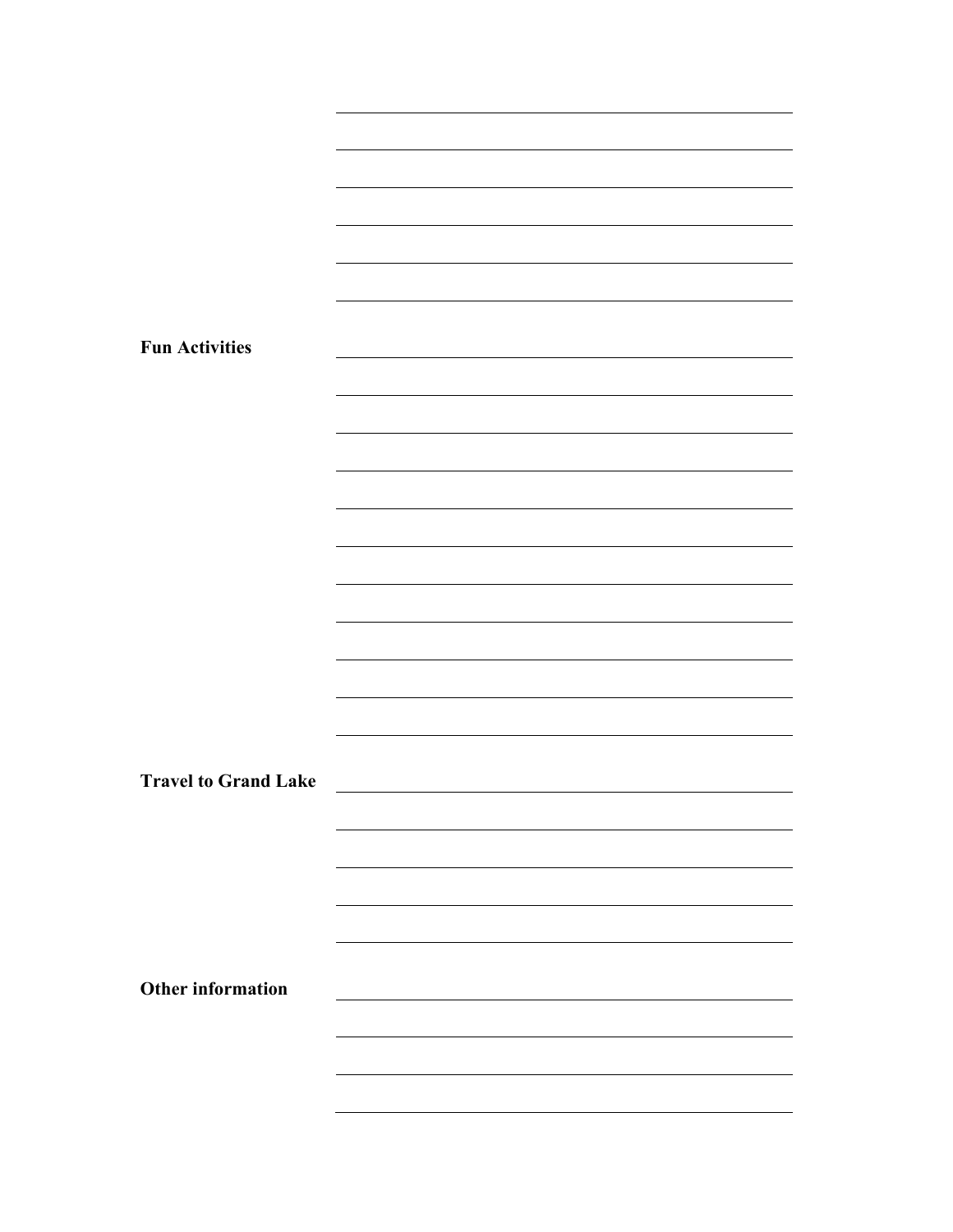| <b>Fun Activities</b>       |  |
|-----------------------------|--|
|                             |  |
|                             |  |
|                             |  |
|                             |  |
|                             |  |
|                             |  |
|                             |  |
|                             |  |
|                             |  |
|                             |  |
|                             |  |
|                             |  |
| <b>Travel to Grand Lake</b> |  |
|                             |  |
|                             |  |
|                             |  |
|                             |  |
|                             |  |
| <b>Other information</b>    |  |
|                             |  |
|                             |  |
|                             |  |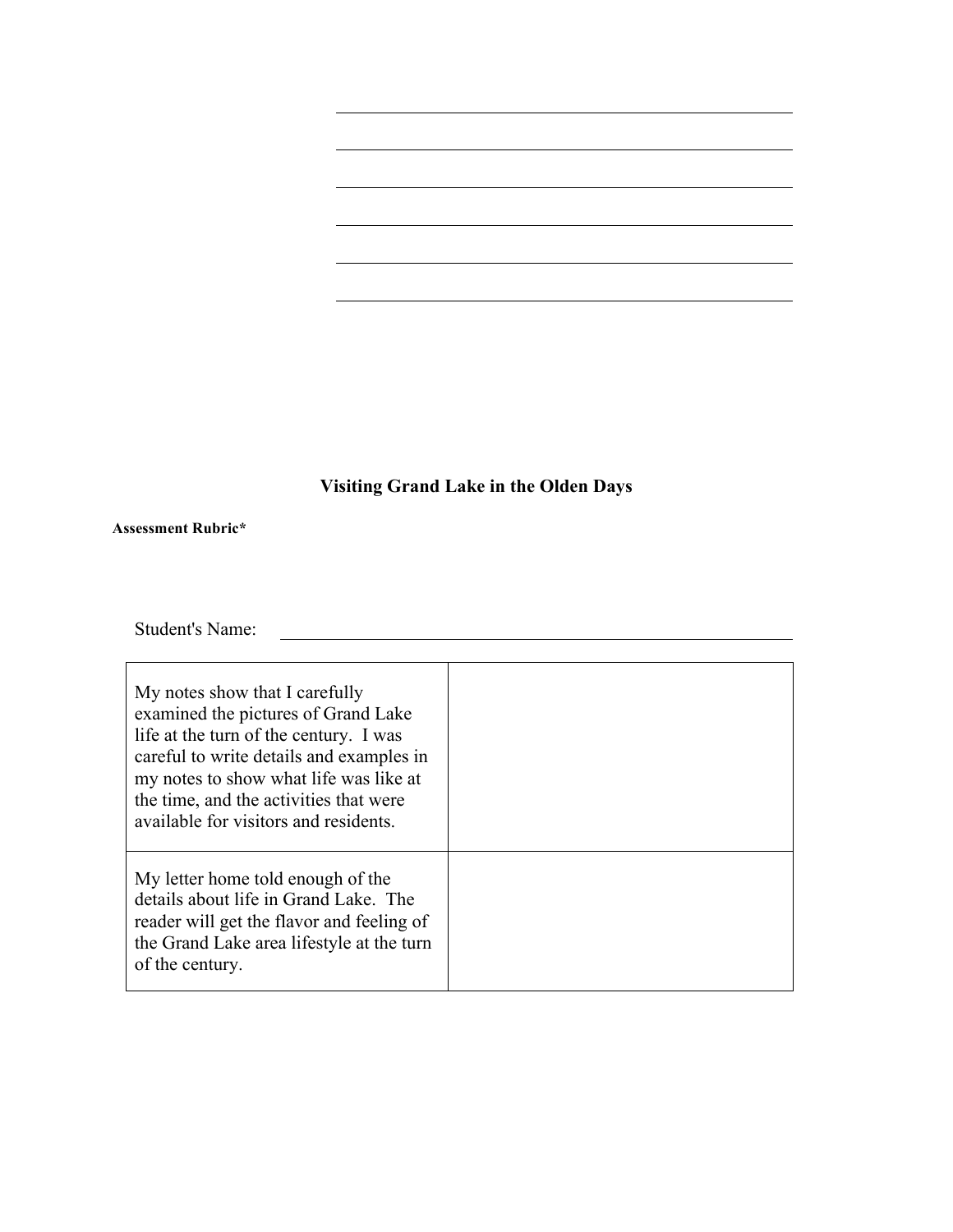# **Visiting Grand Lake in the Olden Days**

#### **Assessment Rubric\***

Student's Name:

| My notes show that I carefully<br>examined the pictures of Grand Lake<br>life at the turn of the century. I was<br>careful to write details and examples in<br>my notes to show what life was like at<br>the time, and the activities that were<br>available for visitors and residents. |  |
|------------------------------------------------------------------------------------------------------------------------------------------------------------------------------------------------------------------------------------------------------------------------------------------|--|
| My letter home told enough of the<br>details about life in Grand Lake. The<br>reader will get the flavor and feeling of<br>the Grand Lake area lifestyle at the turn<br>of the century.                                                                                                  |  |

<u> 1989 - Johann Barbara, martin a</u>